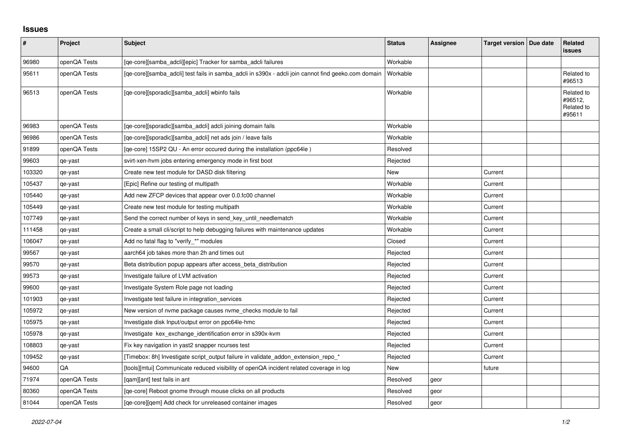## **Issues**

| #      | Project      | Subject                                                                                             | <b>Status</b> | Assignee | Target version   Due date | Related<br><b>issues</b>                      |
|--------|--------------|-----------------------------------------------------------------------------------------------------|---------------|----------|---------------------------|-----------------------------------------------|
| 96980  | openQA Tests | [qe-core][samba_adcli][epic] Tracker for samba_adcli failures                                       | Workable      |          |                           |                                               |
| 95611  | openQA Tests | [qe-core][samba_adcli] test fails in samba_adcli in s390x - adcli join cannot find geeko.com domain | Workable      |          |                           | Related to<br>#96513                          |
| 96513  | openQA Tests | [qe-core][sporadic][samba_adcli] wbinfo fails                                                       | Workable      |          |                           | Related to<br>#96512,<br>Related to<br>#95611 |
| 96983  | openQA Tests | [ge-core][sporadic][samba adcli] adcli joining domain fails                                         | Workable      |          |                           |                                               |
| 96986  | openQA Tests | [qe-core][sporadic][samba_adcli] net ads join / leave fails                                         | Workable      |          |                           |                                               |
| 91899  | openQA Tests | [qe-core] 15SP2 QU - An error occured during the installation (ppc64le)                             | Resolved      |          |                           |                                               |
| 99603  | qe-yast      | svirt-xen-hvm jobs entering emergency mode in first boot                                            | Rejected      |          |                           |                                               |
| 103320 | qe-yast      | Create new test module for DASD disk filtering                                                      | New           |          | Current                   |                                               |
| 105437 | qe-yast      | [Epic] Refine our testing of multipath                                                              | Workable      |          | Current                   |                                               |
| 105440 | qe-yast      | Add new ZFCP devices that appear over 0.0.fc00 channel                                              | Workable      |          | Current                   |                                               |
| 105449 | qe-yast      | Create new test module for testing multipath                                                        | Workable      |          | Current                   |                                               |
| 107749 | qe-yast      | Send the correct number of keys in send_key_until_needlematch                                       | Workable      |          | Current                   |                                               |
| 111458 | qe-yast      | Create a small cli/script to help debugging failures with maintenance updates                       | Workable      |          | Current                   |                                               |
| 106047 | qe-yast      | Add no fatal flag to "verify_*" modules                                                             | Closed        |          | Current                   |                                               |
| 99567  | qe-yast      | aarch64 job takes more than 2h and times out                                                        | Rejected      |          | Current                   |                                               |
| 99570  | qe-yast      | Beta distribution popup appears after access_beta_distribution                                      | Rejected      |          | Current                   |                                               |
| 99573  | qe-yast      | Investigate failure of LVM activation                                                               | Rejected      |          | Current                   |                                               |
| 99600  | qe-yast      | Investigate System Role page not loading                                                            | Rejected      |          | Current                   |                                               |
| 101903 | qe-yast      | Investigate test failure in integration_services                                                    | Rejected      |          | Current                   |                                               |
| 105972 | qe-yast      | New version of nyme package causes nyme checks module to fail                                       | Rejected      |          | Current                   |                                               |
| 105975 | qe-yast      | Investigate disk Input/output error on ppc64le-hmc                                                  | Rejected      |          | Current                   |                                               |
| 105978 | qe-yast      | Investigate kex_exchange_identification error in s390x-kvm                                          | Rejected      |          | Current                   |                                               |
| 108803 | qe-yast      | Fix key navigation in yast2 snapper ncurses test                                                    | Rejected      |          | Current                   |                                               |
| 109452 | qe-yast      | [Timebox: 8h] Investigate script_output failure in validate_addon_extension_repo_*                  | Rejected      |          | Current                   |                                               |
| 94600  | QA           | [tools][mtui] Communicate reduced visibility of openQA incident related coverage in log             | New           |          | future                    |                                               |
| 71974  | openQA Tests | [gam][ant] test fails in ant                                                                        | Resolved      | geor     |                           |                                               |
| 80360  | openQA Tests | [ge-core] Reboot gnome through mouse clicks on all products                                         | Resolved      | geor     |                           |                                               |
| 81044  | openQA Tests | [ge-core][gem] Add check for unreleased container images                                            | Resolved      | geor     |                           |                                               |